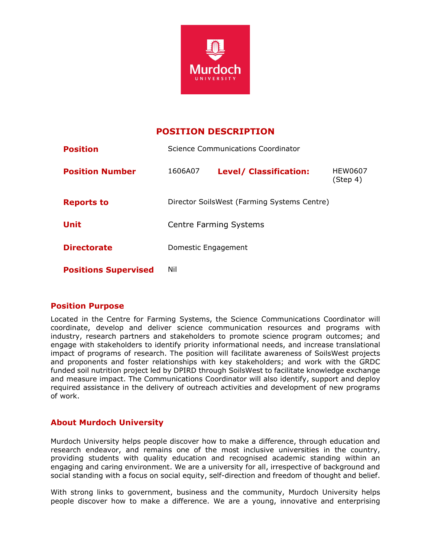

# **POSITION DESCRIPTION**

| <b>Position</b>             | Science Communications Coordinator          |                               |                     |
|-----------------------------|---------------------------------------------|-------------------------------|---------------------|
| <b>Position Number</b>      | 1606A07                                     | <b>Level/ Classification:</b> | HEW0607<br>(Step 4) |
| <b>Reports to</b>           | Director SoilsWest (Farming Systems Centre) |                               |                     |
| <b>Unit</b>                 | <b>Centre Farming Systems</b>               |                               |                     |
| <b>Directorate</b>          | Domestic Engagement                         |                               |                     |
| <b>Positions Supervised</b> | Nil                                         |                               |                     |

# **Position Purpose**

Located in the Centre for Farming Systems, the Science Communications Coordinator will coordinate, develop and deliver science communication resources and programs with industry, research partners and stakeholders to promote science program outcomes; and engage with stakeholders to identify priority informational needs, and increase translational impact of programs of research. The position will facilitate awareness of SoilsWest projects and proponents and foster relationships with key stakeholders; and work with the GRDC funded soil nutrition project led by DPIRD through SoilsWest to facilitate knowledge exchange and measure impact. The Communications Coordinator will also identify, support and deploy required assistance in the delivery of outreach activities and development of new programs of work.

# **About Murdoch University**

Murdoch University helps people discover how to make a difference, through education and research endeavor, and remains one of the most inclusive universities in the country, providing students with quality education and recognised academic standing within an engaging and caring environment. We are a university for all, irrespective of background and social standing with a focus on social equity, self-direction and freedom of thought and belief.

With strong links to government, business and the community, Murdoch University helps people discover how to make a difference. We are a young, innovative and enterprising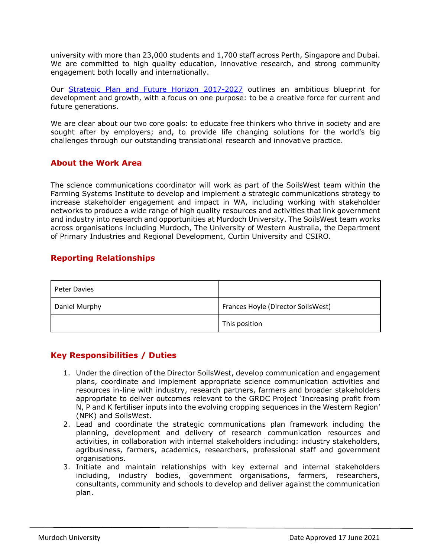university with more than 23,000 students and 1,700 staff across Perth, Singapore and Dubai. We are committed to high quality education, innovative research, and strong community engagement both locally and internationally.

Our [Strategic Plan and Future Horizon 2017-2027](http://www.murdoch.edu.au/_document/About-us/strategic_plan_future_horizon_2017-2027.pdf) outlines an ambitious blueprint for development and growth, with a focus on one purpose: to be a creative force for current and future generations.

We are clear about our two core goals: to educate free thinkers who thrive in society and are sought after by employers; and, to provide life changing solutions for the world's big challenges through our outstanding translational research and innovative practice.

#### **About the Work Area**

The science communications coordinator will work as part of the SoilsWest team within the Farming Systems Institute to develop and implement a strategic communications strategy to increase stakeholder engagement and impact in WA, including working with stakeholder networks to produce a wide range of high quality resources and activities that link government and industry into research and opportunities at Murdoch University. The SoilsWest team works across organisations including Murdoch, The University of Western Australia, the Department of Primary Industries and Regional Development, Curtin University and CSIRO.

### **Reporting Relationships**

| <b>Peter Davies</b> |                                    |
|---------------------|------------------------------------|
| Daniel Murphy       | Frances Hoyle (Director SoilsWest) |
|                     | This position                      |

#### **Key Responsibilities / Duties**

- 1. Under the direction of the Director SoilsWest, develop communication and engagement plans, coordinate and implement appropriate science communication activities and resources in-line with industry, research partners, farmers and broader stakeholders appropriate to deliver outcomes relevant to the GRDC Project 'Increasing profit from N, P and K fertiliser inputs into the evolving cropping sequences in the Western Region' (NPK) and SoilsWest.
- 2. Lead and coordinate the strategic communications plan framework including the planning, development and delivery of research communication resources and activities, in collaboration with internal stakeholders including: industry stakeholders, agribusiness, farmers, academics, researchers, professional staff and government organisations.
- 3. Initiate and maintain relationships with key external and internal stakeholders including, industry bodies, government organisations, farmers, researchers, consultants, community and schools to develop and deliver against the communication plan.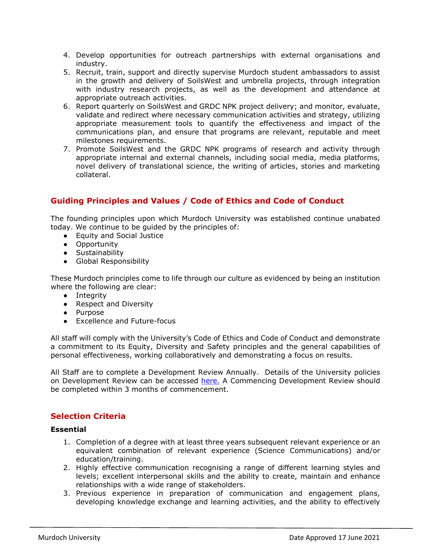- 4. Develop opportunities for outreach partnerships with external organisations and industry.
- 5. Recruit, train, support and directly supervise Murdoch student ambassadors to assist in the growth and delivery of SoilsWest and umbrella projects, through integration with industry research projects, as well as the development and attendance at appropriate outreach activities.
- 6. Report quarterly on SoilsWest and GRDC NPK project delivery; and monitor, evaluate, validate and redirect where necessary communication activities and strategy, utilizing appropriate measurement tools to quantify the effectiveness and impact of the communications plan, and ensure that programs are relevant, reputable and meet milestones requirements.
- 7. Promote SoilsWest and the GRDC NPK programs of research and activity through appropriate internal and external channels, including social media, media platforms, novel delivery of translational science, the writing of articles, stories and marketing collateral.

# **Guiding Principles and Values / Code of Ethics and Code of Conduct**

The founding principles upon which Murdoch University was established continue unabated today. We continue to be guided by the principles of:

- Equity and Social Justice
- Opportunity
- Sustainability
- Global Responsibility

These Murdoch principles come to life through our culture as evidenced by being an institution where the following are clear:

- Integrity
- Respect and Diversity
- Purpose
- Excellence and Future-focus

All staff will comply with the University's Code of Ethics and Code of Conduct and demonstrate a commitment to its Equity, Diversity and Safety principles and the general capabilities of personal effectiveness, working collaboratively and demonstrating a focus on results.

All Staff are to complete a Development Review Annually. Details of the University policies on Development Review can be accessed [here.](https://policy.murdoch.edu.au/dotNet/documents/?docid=855&mode=view) A Commencing Development Review should be completed within 3 months of commencement.

# **Selection Criteria**

#### **Essential**

- 1. Completion of a degree with at least three years subsequent relevant experience or an equivalent combination of relevant experience (Science Communications) and/or education/training.
- 2. Highly effective communication recognising a range of different learning styles and levels; excellent interpersonal skills and the ability to create, maintain and enhance relationships with a wide range of stakeholders.
- 3. Previous experience in preparation of communication and engagement plans, developing knowledge exchange and learning activities, and the ability to effectively